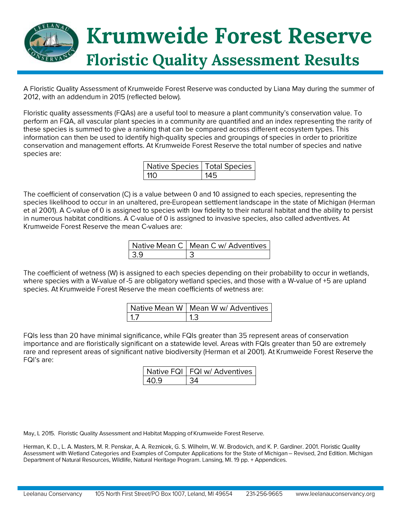

A Floristic Quality Assessment of Krumweide Forest Reserve was conducted by Liana May during the summer of 2012, with an addendum in 2015 (reflected below).

Floristic quality assessments (FQAs) are a useful tool to measure a plant community's conservation value. To perform an FQA, all vascular plant species in a community are quantified and an index representing the rarity of these species is summed to give a ranking that can be compared across different ecosystem types. This information can then be used to identify high-guality species and groupings of species in order to prioritize conservation and management efforts. At Krumweide Forest Reserve the total number of species and native species are:

| Native Species   Total Species |  |
|--------------------------------|--|
| 11 $\cap$                      |  |

The coefficient of conservation (C) is a value between 0 and 10 assigned to each species, representing the species likelihood to occur in an unaltered, pre-European settlement landscape in the state of Michigan (Herman et al 2001). A C-value of 0 is assigned to species with low fidelity to their natural habitat and the ability to persist in numerous habitat conditions. A C-value of 0 is assigned to invasive species, also called adventives. At Krumweide Forest Reserve the mean C-values are:

|      | Native Mean C   Mean C w/ Adventives |
|------|--------------------------------------|
| - 39 |                                      |

The coefficient of wetness (W) is assigned to each species depending on their probability to occur in wetlands, where species with a W-value of -5 are obligatory wetland species, and those with a W-value of +5 are upland species. At Krumweide Forest Reserve the mean coefficients of wetness are:

| Native Mean W   Mean W w/ Adventives |
|--------------------------------------|
|                                      |

FQIs less than 20 have minimal significance, while FQIs greater than 35 represent areas of conservation importance and are floristically significant on a statewide level. Areas with FQIs greater than 50 are extremely rare and represent areas of significant native biodiversity (Herman et al 2001). At Krumweide Forest Reserve the FQI's are:

| Native FQI   FQI w/ Adventives |
|--------------------------------|
|                                |

May, L 2015. Floristic Quality Assessment and Habitat Mapping of Krumweide Forest Reserve.

Herman, K. D., L. A. Masters, M. R. Penskar, A. A. Reznicek, G. S. Wilhelm, W. W. Brodovich, and K. P. Gardiner. 2001. Floristic Quality Assessment with Wetland Categories and Examples of Computer Applications for the State of Michigan - Revised, 2nd Edition. Michigan Department of Natural Resources, Wildlife, Natural Heritage Program. Lansing, MI. 19 pp. + Appendices.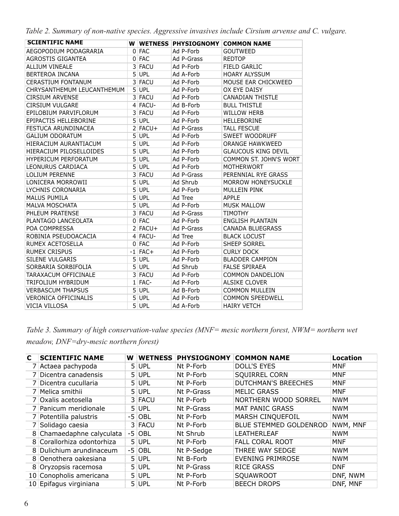*Table 2. Summary of non-native species. Aggressive invasives include Cirsium arvense and C. vulgare.*

| <b>SCIENTIFIC NAME</b>      |                |            | W WETNESS PHYSIOGNOMY COMMON NAME |                            |
|-----------------------------|----------------|------------|-----------------------------------|----------------------------|
| AEGOPODIUM PODAGRARIA       |                | $0$ FAC    | Ad P-Forb                         | <b>GOUTWEED</b>            |
| AGROSTIS GIGANTEA           |                | 0 FAC      | Ad P-Grass                        | <b>REDTOP</b>              |
| <b>ALLIUM VINEALE</b>       |                | 3 FACU     | Ad P-Forb                         | <b>FIELD GARLIC</b>        |
| BERTEROA INCANA             |                | 5 UPL      | Ad A-Forb                         | <b>HOARY ALYSSUM</b>       |
| <b>CERASTIUM FONTANUM</b>   |                | 3 FACU     | Ad P-Forb                         | MOUSE EAR CHICKWEED        |
| CHRYSANTHEMUM LEUCANTHEMUM  |                | $5$ UPL    | Ad P-Forb                         | OX EYE DAISY               |
| <b>CIRSIUM ARVENSE</b>      |                | 3 FACU     | Ad P-Forb                         | <b>CANADIAN THISTLE</b>    |
| <b>CIRSIUM VULGARE</b>      |                | $4$ FACU-  | Ad B-Forb                         | <b>BULL THISTLE</b>        |
| EPILOBIUM PARVIFLORUM       |                | 3 FACU     | Ad P-Forb                         | <b>WILLOW HERB</b>         |
| EPIPACTIS HELLEBORINE       |                | 5 UPL      | Ad P-Forb                         | HELLEBORINE                |
| FESTUCA ARUNDINACEA         |                | $2$ FACU+  | Ad P-Grass                        | <b>TALL FESCUE</b>         |
| <b>GALIUM ODORATUM</b>      |                | 5 UPL      | Ad P-Forb                         | <b>SWEET WOODRUFF</b>      |
| HIERACIUM AURANTIACUM       |                | $5$ UPL    | Ad P-Forb                         | <b>ORANGE HAWKWEED</b>     |
| HIERACIUM PILOSELLOIDES     |                | $5$ UPL    | Ad P-Forb                         | <b>GLAUCOUS KING DEVIL</b> |
| <b>HYPERICUM PERFORATUM</b> | 5 <sup>1</sup> | <b>UPL</b> | Ad P-Forb                         | COMMON ST. JOHN'S WORT     |
| LEONURUS CARDIACA           |                | 5 UPL      | Ad P-Forb                         | <b>MOTHERWORT</b>          |
| <b>LOLIUM PERENNE</b>       |                | 3 FACU     | Ad P-Grass                        | PERENNIAL RYE GRASS        |
| LONICERA MORROWII           | 5 <sup>1</sup> | <b>UPL</b> | Ad Shrub                          | MORROW HONEYSUCKLE         |
| LYCHNIS CORONARIA           |                | 5 UPL      | Ad P-Forb                         | <b>MULLEIN PINK</b>        |
| <b>MALUS PUMILA</b>         |                | 5 UPL      | Ad Tree                           | <b>APPLE</b>               |
| <b>MALVA MOSCHATA</b>       |                | $5$ UPL    | Ad P-Forb                         | <b>MUSK MALLOW</b>         |
| PHLEUM PRATENSE             |                | 3 FACU     | Ad P-Grass                        | <b>TIMOTHY</b>             |
| PLANTAGO LANCEOLATA         |                | 0 FAC      | Ad P-Forb                         | ENGLISH PLANTAIN           |
| POA COMPRESSA               |                | $2$ FACU+  | Ad P-Grass                        | CANADA BLUEGRASS           |
| ROBINIA PSEUDOACACIA        |                | 4 FACU-    | Ad Tree                           | <b>BLACK LOCUST</b>        |
| RUMEX ACETOSELLA            |                | $0$ FAC    | Ad P-Forb                         | <b>SHEEP SORREL</b>        |
| <b>RUMEX CRISPUS</b>        |                | $-1$ FAC+  | Ad P-Forb                         | <b>CURLY DOCK</b>          |
| <b>SILENE VULGARIS</b>      |                | $5$ UPL    | Ad P-Forb                         | <b>BLADDER CAMPION</b>     |
| SORBARIA SORBIFOLIA         |                | 5 UPL      | Ad Shrub                          | <b>FALSE SPIRAEA</b>       |
| TARAXACUM OFFICINALE        |                | 3 FACU     | Ad P-Forb                         | <b>COMMON DANDELION</b>    |
| TRIFOLIUM HYBRIDUM          |                | $1$ FAC-   | Ad P-Forb                         | <b>ALSIKE CLOVER</b>       |
| <b>VERBASCUM THAPSUS</b>    |                | 5 UPL      | Ad B-Forb                         | <b>COMMON MULLEIN</b>      |
| <b>VERONICA OFFICINALIS</b> | 5 <sup>1</sup> | <b>UPL</b> | Ad P-Forb                         | <b>COMMON SPEEDWELL</b>    |
| VICIA VILLOSA               |                | $5$ UPL    | Ad A-Forb                         | <b>HAIRY VETCH</b>         |

*Table 3. Summary of high conservation-value species (MNF= mesic northern forest, NWM= northern wet meadow, DNF=dry-mesic northern forest)*

| C. | <b>SCIENTIFIC NAME</b>     | W | <b>WETNESS</b> | <b>PHYSIOGNOMY</b> | <b>COMMON NAME</b>            | <b>Location</b> |
|----|----------------------------|---|----------------|--------------------|-------------------------------|-----------------|
|    | 7 Actaea pachypoda         |   | $5$ UPL        | Nt P-Forb          | <b>DOLL'S EYES</b>            | <b>MNF</b>      |
|    | 7 Dicentra canadensis      |   | 5 UPL          | Nt P-Forb          | <b>SQUIRREL CORN</b>          | <b>MNF</b>      |
|    | 7 Dicentra cucullaria      |   | $5$ UPL        | Nt P-Forb          | <b>DUTCHMAN'S BREECHES</b>    | <b>MNF</b>      |
|    | 7 Melica smithii           |   | 5 UPL          | Nt P-Grass         | <b>MELIC GRASS</b>            | <b>MNF</b>      |
|    | 7 Oxalis acetosella        |   | 3 FACU         | Nt P-Forb          | NORTHERN WOOD SORREL          | <b>NWM</b>      |
|    | 7 Panicum meridionale      |   | $5$ UPL        | Nt P-Grass         | <b>MAT PANIC GRASS</b>        | <b>NWM</b>      |
|    | 7 Potentilla palustris     |   | $-5$ OBL       | Nt P-Forb          | MARSH CINQUEFOIL              | <b>NWM</b>      |
|    | 7 Solidago caesia          |   | 3 FACU         | Nt P-Forb          | <b>BLUE STEMMED GOLDENROD</b> | NWM, MNF        |
|    | 8 Chamaedaphne calyculata  |   | $-5$ OBL       | Nt Shrub           | <b>LEATHERLEAF</b>            | <b>NWM</b>      |
|    | 8 Corallorhiza odontorhiza |   | $5$ UPL        | Nt P-Forb          | <b>FALL CORAL ROOT</b>        | <b>MNF</b>      |
|    | 8 Dulichium arundinaceum   |   | $-5$ OBL       | Nt P-Sedge         | THREE WAY SEDGE               | <b>NWM</b>      |
|    | 8 Oenothera oakesiana      |   | $5$ UPL        | Nt B-Forb          | <b>EVENING PRIMROSE</b>       | <b>NWM</b>      |
|    | 8 Oryzopsis racemosa       |   | 5 UPL          | Nt P-Grass         | <b>RICE GRASS</b>             | <b>DNF</b>      |
|    | 10 Conopholis americana    |   | $5$ UPL        | Nt P-Forb          | SQUAWROOT                     | DNF, NWM        |
|    | 10 Epifagus virginiana     |   | 5 UPL          | Nt P-Forb          | <b>BEECH DROPS</b>            | DNF, MNF        |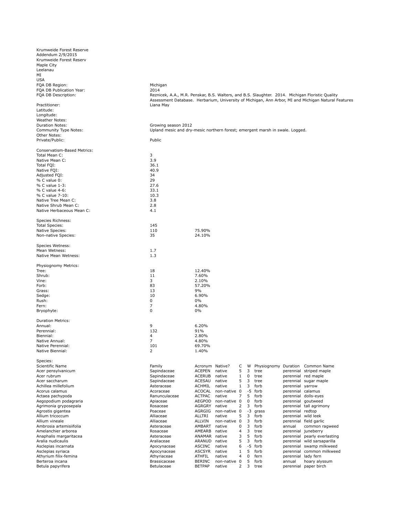| Krumweide Forest Reserve    |                                                                                                  |                 |              |              |      |                      |                   |                                                                                                     |
|-----------------------------|--------------------------------------------------------------------------------------------------|-----------------|--------------|--------------|------|----------------------|-------------------|-----------------------------------------------------------------------------------------------------|
| Addendum 2/9/2015           |                                                                                                  |                 |              |              |      |                      |                   |                                                                                                     |
| Krumweide Forest Reserv     |                                                                                                  |                 |              |              |      |                      |                   |                                                                                                     |
| Maple City                  |                                                                                                  |                 |              |              |      |                      |                   |                                                                                                     |
| Leelanau                    |                                                                                                  |                 |              |              |      |                      |                   |                                                                                                     |
|                             |                                                                                                  |                 |              |              |      |                      |                   |                                                                                                     |
| MI                          |                                                                                                  |                 |              |              |      |                      |                   |                                                                                                     |
| <b>USA</b>                  |                                                                                                  |                 |              |              |      |                      |                   |                                                                                                     |
| FQA DB Region:              | Michigan                                                                                         |                 |              |              |      |                      |                   |                                                                                                     |
| FQA DB Publication Year:    | 2014                                                                                             |                 |              |              |      |                      |                   |                                                                                                     |
| FQA DB Description:         | Reznicek, A.A., M.R. Penskar, B.S. Walters, and B.S. Slaughter. 2014. Michigan Floristic Quality |                 |              |              |      |                      |                   |                                                                                                     |
|                             |                                                                                                  |                 |              |              |      |                      |                   | Assessment Database. Herbarium, University of Michigan, Ann Arbor, MI and Michigan Natural Features |
| Practitioner:               | Liana May                                                                                        |                 |              |              |      |                      |                   |                                                                                                     |
|                             |                                                                                                  |                 |              |              |      |                      |                   |                                                                                                     |
| Latitude:                   |                                                                                                  |                 |              |              |      |                      |                   |                                                                                                     |
| Longitude:                  |                                                                                                  |                 |              |              |      |                      |                   |                                                                                                     |
| Weather Notes:              |                                                                                                  |                 |              |              |      |                      |                   |                                                                                                     |
| <b>Duration Notes:</b>      | Growing season 2012                                                                              |                 |              |              |      |                      |                   |                                                                                                     |
| Community Type Notes:       | Upland mesic and dry-mesic northern forest; emergent marsh in swale. Logged.                     |                 |              |              |      |                      |                   |                                                                                                     |
| Other Notes:                |                                                                                                  |                 |              |              |      |                      |                   |                                                                                                     |
| Private/Public:             | Public                                                                                           |                 |              |              |      |                      |                   |                                                                                                     |
|                             |                                                                                                  |                 |              |              |      |                      |                   |                                                                                                     |
| Conservatism-Based Metrics: |                                                                                                  |                 |              |              |      |                      |                   |                                                                                                     |
| Total Mean C:               | 3                                                                                                |                 |              |              |      |                      |                   |                                                                                                     |
|                             |                                                                                                  |                 |              |              |      |                      |                   |                                                                                                     |
| Native Mean C:              | 3.9                                                                                              |                 |              |              |      |                      |                   |                                                                                                     |
| Total FQI:                  | 36.1                                                                                             |                 |              |              |      |                      |                   |                                                                                                     |
| Native FQI:                 | 40.9                                                                                             |                 |              |              |      |                      |                   |                                                                                                     |
| Adjusted FQI:               | 34                                                                                               |                 |              |              |      |                      |                   |                                                                                                     |
| % C value 0:                | 29                                                                                               |                 |              |              |      |                      |                   |                                                                                                     |
| % C value 1-3:              | 27.6                                                                                             |                 |              |              |      |                      |                   |                                                                                                     |
| % C value 4-6:              | 33.1                                                                                             |                 |              |              |      |                      |                   |                                                                                                     |
| % C value 7-10:             | 10.3                                                                                             |                 |              |              |      |                      |                   |                                                                                                     |
| Native Tree Mean C:         | 3.8                                                                                              |                 |              |              |      |                      |                   |                                                                                                     |
|                             |                                                                                                  |                 |              |              |      |                      |                   |                                                                                                     |
| Native Shrub Mean C:        | 2.8                                                                                              |                 |              |              |      |                      |                   |                                                                                                     |
| Native Herbaceous Mean C:   | 4.1                                                                                              |                 |              |              |      |                      |                   |                                                                                                     |
|                             |                                                                                                  |                 |              |              |      |                      |                   |                                                                                                     |
| Species Richness:           |                                                                                                  |                 |              |              |      |                      |                   |                                                                                                     |
| <b>Total Species:</b>       | 145                                                                                              |                 |              |              |      |                      |                   |                                                                                                     |
| Native Species:             | 110                                                                                              | 75.90%          |              |              |      |                      |                   |                                                                                                     |
| Non-native Species:         | 35                                                                                               | 24.10%          |              |              |      |                      |                   |                                                                                                     |
|                             |                                                                                                  |                 |              |              |      |                      |                   |                                                                                                     |
| Species Wetness:            |                                                                                                  |                 |              |              |      |                      |                   |                                                                                                     |
|                             |                                                                                                  |                 |              |              |      |                      |                   |                                                                                                     |
| Mean Wetness:               | 1.7                                                                                              |                 |              |              |      |                      |                   |                                                                                                     |
| Native Mean Wetness:        | 1.3                                                                                              |                 |              |              |      |                      |                   |                                                                                                     |
|                             |                                                                                                  |                 |              |              |      |                      |                   |                                                                                                     |
| Physiognomy Metrics:        |                                                                                                  |                 |              |              |      |                      |                   |                                                                                                     |
| Tree:                       | 18                                                                                               | 12.40%          |              |              |      |                      |                   |                                                                                                     |
| Shrub:                      | 11                                                                                               | 7.60%           |              |              |      |                      |                   |                                                                                                     |
| Vine:                       | 3                                                                                                | 2.10%           |              |              |      |                      |                   |                                                                                                     |
| Forb:                       | 83                                                                                               | 57.20%          |              |              |      |                      |                   |                                                                                                     |
| Grass:                      | 13                                                                                               | 9%              |              |              |      |                      |                   |                                                                                                     |
| Sedge:                      | 10                                                                                               | 6.90%           |              |              |      |                      |                   |                                                                                                     |
| Rush:                       | 0                                                                                                | 0%              |              |              |      |                      |                   |                                                                                                     |
|                             | 7                                                                                                |                 |              |              |      |                      |                   |                                                                                                     |
| Fern:                       |                                                                                                  | 4.80%           |              |              |      |                      |                   |                                                                                                     |
| Bryophyte:                  | 0                                                                                                | $0\%$           |              |              |      |                      |                   |                                                                                                     |
|                             |                                                                                                  |                 |              |              |      |                      |                   |                                                                                                     |
| <b>Duration Metrics:</b>    |                                                                                                  |                 |              |              |      |                      |                   |                                                                                                     |
| Annual:                     | 9                                                                                                | 6.20%           |              |              |      |                      |                   |                                                                                                     |
| Perennial:                  | 132                                                                                              | 91%             |              |              |      |                      |                   |                                                                                                     |
| Biennial:                   | 4                                                                                                | 2.80%           |              |              |      |                      |                   |                                                                                                     |
| Native Annual:              | 7                                                                                                | 4.80%           |              |              |      |                      |                   |                                                                                                     |
| Native Perennial:           | 101                                                                                              | 69.70%          |              |              |      |                      |                   |                                                                                                     |
| Native Biennial:            | 2                                                                                                | 1.40%           |              |              |      |                      |                   |                                                                                                     |
|                             |                                                                                                  |                 |              |              |      |                      |                   |                                                                                                     |
| Species:                    |                                                                                                  |                 |              |              |      |                      |                   |                                                                                                     |
|                             |                                                                                                  |                 |              |              |      |                      |                   |                                                                                                     |
| Scientific Name             | Family                                                                                           | Acronym Native? |              | C            | W    | Physiognomy Duration |                   | Common Name                                                                                         |
| Acer pensylvanicum          | Sapindaceae                                                                                      | <b>ACEPEN</b>   | native       | 5            | 3    | tree                 | perennial         | striped maple                                                                                       |
| Acer rubrum                 | Sapindaceae                                                                                      | <b>ACERUB</b>   | native       | $\mathbf{1}$ | 0    | tree                 | perennial         | red maple                                                                                           |
| Acer saccharum              | Sapindaceae                                                                                      | <b>ACESAU</b>   | native       | 5            | 3    | tree                 |                   | perennial sugar maple                                                                               |
| Achillea millefolium        | Asteraceae                                                                                       | ACHMIL          | native       | 1            | 3    | forb                 | perennial         | yarrow                                                                                              |
| Acorus calamus              | Acoraceae                                                                                        | <b>ACOCAL</b>   | non-native 0 |              | -5   | forb                 | perennial calamus |                                                                                                     |
| Actaea pachypoda            | Ranunculaceae                                                                                    | <b>ACTPAC</b>   | native       | 7            | 5    | forb                 |                   | perennial dolls-eyes                                                                                |
| Aegopodium podagraria       | Apiaceae                                                                                         | AEGPOD          | non-native 0 |              | 0    | forb                 | perennial         | goutweed                                                                                            |
| Agrimonia gryposepala       | Rosaceae                                                                                         | AGRGRY          | native       | 2            | 3    | forb                 | perennial         | tall agrimony                                                                                       |
|                             |                                                                                                  |                 |              |              |      |                      |                   |                                                                                                     |
| Agrostis gigantea           | Poaceae                                                                                          | AGRGIG          | non-native 0 |              | $-3$ | grass                | perennial redtop  |                                                                                                     |
| Allium tricoccum            | Alliaceae                                                                                        | ALLTRI          | native       | 5            | 3    | forb                 |                   | perennial wild leek                                                                                 |
| Allium vineale              | Alliaceae                                                                                        | <b>ALLVIN</b>   | non-native 0 |              | 3    | forb                 | perennial         | field garlic                                                                                        |
| Ambrosia artemisiifolia     | Asteraceae                                                                                       | AMBART          | native       | 0            | 3    | forb                 | annual            | common ragweed                                                                                      |
| Amelanchier arborea         | Rosaceae                                                                                         | AMEARB          | native       | 4            | 3    | tree                 | perennial         | juneberry                                                                                           |
| Anaphalis margaritacea      | Asteraceae                                                                                       | ANAMAR          | native       | 3            | 5    | forb                 | perennial         | pearly everlasting                                                                                  |
| Aralia nudicaulis           | Araliaceae                                                                                       | ARANUD          | native       | 5            | 3    | forb                 | perennial         | wild sarsaparilla                                                                                   |
| Asclepias incarnata         | Apocynaceae                                                                                      | ASCINC          | native       | 6            | -5   | forb                 | perennial         | swamp milkweed                                                                                      |
|                             |                                                                                                  |                 |              |              |      |                      |                   |                                                                                                     |
| Asclepias syriaca           | Apocynaceae                                                                                      | <b>ASCSYR</b>   | native       | $\mathbf{1}$ | 5    | forb                 | perennial         | common milkweed                                                                                     |
| Athyrium filix-femina       | Athyriaceae                                                                                      | ATHFIL          | native       | 4            | 0    | fern                 | perennial         | lady fern                                                                                           |
| Berteroa incana             | Brassicaceae                                                                                     | <b>BERINC</b>   | non-native 0 |              | 5    | forb                 | annual            | hoary alyssum                                                                                       |
| Betula papyrifera           | Betulaceae                                                                                       | <b>BETPAP</b>   | native       | 2            | 3    | tree                 |                   | perennial paper birch                                                                               |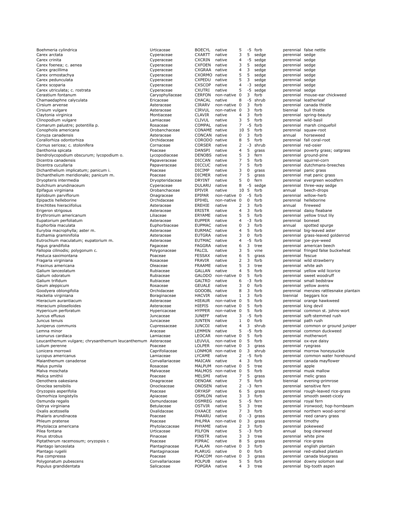| Boehmeria cylindrica                                        | Urticaceae                   | <b>BOECYL</b>                  | native                       | 5                   | -5      | forb           |                                | perennial false nettle                                       |
|-------------------------------------------------------------|------------------------------|--------------------------------|------------------------------|---------------------|---------|----------------|--------------------------------|--------------------------------------------------------------|
| Carex arctata                                               | Cyperaceae                   | <b>CXARTT</b>                  | native                       | 3                   | 5       | sedge          | perennial sedge                |                                                              |
| Carex crinita                                               | Cyperaceae                   | <b>CXCRIN</b>                  | native                       | 4                   | -5      | sedge          | perennial sedge                |                                                              |
| Carex foenea; c. aenea                                      | Cyperaceae                   | <b>CXFOEN</b><br><b>CXGRAA</b> | native                       | 3                   | 5       | sedge          | perennial sedge                |                                                              |
| Carex gracillima<br>Carex ormostachya                       | Cyperaceae<br>Cyperaceae     | CXORMO native                  | native                       | 4<br>5              | 3<br>5  | sedge<br>sedge | perennial sedge                | sedge                                                        |
| Carex pedunculata                                           | Cyperaceae                   | <b>CXPEDU</b>                  | native                       | 5                   | 3       | sedge          | perennial<br>perennial sedge   |                                                              |
| Carex scoparia                                              | Cyperaceae                   | <b>CXSCOP</b>                  | native                       | 4                   | $-3$    | sedge          | perennial                      | sedge                                                        |
| Carex utriculata; c. rostrata                               | Cyperaceae                   | <b>CXUTRI</b>                  | native                       | 5                   | -5      | sedge          | perennial                      | sedge                                                        |
| Cerastium fontanum                                          | Caryophyllaceae              | <b>CERFON</b>                  | non-native 0                 |                     | 3       | forb           | perennial                      | mouse-ear chickweed                                          |
| Chamaedaphne calyculata                                     | Ericaceae                    | CHACAL                         | native                       | 8                   | -5      | shrub          | perennial                      | leatherleaf                                                  |
| Cirsium arvense                                             | Asteraceae                   | <b>CIRARV</b>                  | non-native 0                 |                     | 3       | forb           | perennial                      | canada thistle                                               |
| Cirsium vulgare                                             | Asteraceae                   | <b>CIRVUL</b>                  | non-native 0                 |                     | 3       | forb           | biennial                       | bull thistle                                                 |
| Claytonia virginica                                         | Montiaceae                   | <b>CLAVIR</b><br><b>CLIVUL</b> | native<br>native             | 4<br>3              | 3<br>5  | forb<br>forb   |                                | perennial spring-beauty<br>wild-basil                        |
| Clinopodium vulgare<br>Comarum palustre; potentilla p.      | Lamiaceae<br>Rosaceae        | COMPAL                         | native                       | 7                   | -5      | forb           | perennial<br>perennial         | marsh cinquefoil                                             |
| Conopholis americana                                        | Orobanchaceae                | CONAME                         | native                       | 10                  | 5       | forb           |                                | perennial squaw-root                                         |
| Conyza canadensis                                           | Asteraceae                   | CONCAN                         | native                       | 0                   | 3       | forb           | annual                         | horseweed                                                    |
| Corallorhiza odontorhiza                                    | Orchidaceae                  | CORODO                         | native                       | 8                   | 5       | forb           | perennial                      | fall coral-root                                              |
| Cornus sericea; c. stolonifera                              | Cornaceae                    | <b>CORSER</b>                  | native                       | 2                   | -3      | shrub          | perennial                      | red-osier                                                    |
| Danthonia spicata                                           | Poaceae                      | DANSPI                         | native                       | $\overline{4}$      | 5       | grass          | perennial                      | poverty grass; oatgrass                                      |
| Dendrolycopodium obscurum; lycopodium o.                    | Lycopodiaceae                | <b>DENOBS</b>                  | native                       | 5                   | 3       | fern           | perennial                      | ground-pine                                                  |
| Dicentra canadensis                                         | Papaveraceae                 | <b>DICCAN</b>                  | native                       | 7                   | 5<br>5  | forb           | perennial                      | squirrel-corn                                                |
| Dicentra cucullaria<br>Dichanthelium implicatum; panicum i. | Papaveraceae<br>Poaceae      | <b>DICCUC</b><br><b>DICIMP</b> | native<br>native             | $\overline{7}$<br>3 | 0       | forb<br>grass  | perennial<br>perennial         | dutchmans-breeches<br>panic grass                            |
| Dichanthelium meridionale; panicum m.                       | Poaceae                      | <b>DICMER</b>                  | native                       | $\overline{7}$      | 5       | grass          | perennial                      | mat panic grass                                              |
| Dryopteris intermedia                                       | Dryopteridaceae              | <b>DRYINT</b>                  | native                       | 5                   | 0       | fern           | perennial                      | evergreen woodfern                                           |
| Dulichium arundinaceum                                      | Cyperaceae                   | DULARU                         | native                       | 8                   | -5      | sedge          |                                | perennial three-way sedge                                    |
| Epifagus virginiana                                         | Orobanchaceae                | <b>EPIVIR</b>                  | native                       | 10                  | 5       | forb           | annual                         | beech-drops                                                  |
| Epilobium parviflorum                                       | Onagraceae                   | EPIPAR                         | non-native 0                 |                     | -5      | forb           | perennial                      | willow-herb                                                  |
| Epipactis helleborine                                       | Orchidaceae                  | EPIHEL                         | non-native 0                 |                     | 0       | forb           |                                | perennial helleborine                                        |
| Erechtites hieraciifolius                                   | Asteraceae                   | EREHIE                         | native                       | 2                   | 3       | forb           | annual                         | fireweed                                                     |
| Erigeron strigosus                                          | Asteraceae                   | <b>ERISTR</b><br>ERYAME        | native                       | 4                   | 3       | forb           | perennial                      | daisy fleabane                                               |
| Erythronium americanum<br>Eupatorium perfoliatum            | Liliaceae<br>Asteraceae      | <b>EUPPER</b>                  | native<br>native             | 5<br>4              | 5<br>-3 | forb<br>forb   | perennial<br>perennial boneset | yellow trout lily                                            |
| Euphorbia maculata                                          | Euphorbiaceae                | <b>EUPMAC</b>                  | native                       | 0                   | 3       | forb           | annual                         | spotted spurge                                               |
| Eurybia macrophylla; aster m.                               | Asteraceae                   | <b>EURMAC</b>                  | native                       | $\overline{4}$      | 5       | forb           | perennial                      | big-leaved aster                                             |
| Euthamia graminifolia                                       | Asteraceae                   | <b>EUTGRA</b>                  | native                       | 3                   | 0       | forb           | perennial                      | grass-leaved goldenrod                                       |
| Eutrochium maculatum; eupatorium m.                         | Asteraceae                   | <b>EUTMAC</b>                  | native                       | $\overline{4}$      | -5      | forb           | perennial                      | joe-pye-weed                                                 |
| Fagus grandifolia                                           | Fagaceae                     | <b>FAGGRA</b>                  | native                       | 6                   | 3       | tree           | perennial                      | american beech                                               |
| Fallopia cilinodis; polygonum c.                            | Polygonaceae                 | <b>FALCIL</b>                  | native                       | 3                   | 5       | vine           | perennial                      | fringed false buckwheat                                      |
| Festuca saximontana                                         | Poaceae                      | <b>FESSAX</b>                  | native                       | 6                   | 5       | grass          | perennial fescue               |                                                              |
| Fragaria virginiana                                         | Rosaceae<br>Oleaceae         | <b>FRAVIR</b><br>FRAAME        | native<br>native             | 2<br>5              | 3<br>3  | forb<br>tree   |                                | perennial wild strawberry<br>white ash                       |
| Fraxinus americana<br>Galium lanceolatum                    | Rubiaceae                    | GALLAN                         | native                       | $\overline{4}$      | 5       | forb           | perennial                      | perennial yellow wild licorice                               |
| Galium odoratum                                             | Rubiaceae                    | GALODO                         | non-native 0                 |                     | 5       | forb           | perennial                      | sweet woodruff                                               |
| Galium trifidum                                             | Rubiaceae                    | <b>GALTRD</b>                  | native                       | 6                   | $-3$    | forb           | perennial                      | small bedstraw                                               |
| Geum aleppicum                                              | Rosaceae                     | <b>GEUALE</b>                  | native                       | 3                   | 0       | forb           | perennial                      | yellow avens                                                 |
| Goodyera oblongifolia                                       | Orchidaceae                  | GOOOBL native                  |                              | 8                   | 3       | forb           | perennial                      | menzies rattlesnake plantain                                 |
| Hackelia virginiana                                         | Boraginaceae                 | <b>HACVIR</b>                  | native                       | 1                   | 3       | forb           | biennial                       | beggars lice                                                 |
| Hieracium aurantiacum                                       | Asteraceae                   | <b>HIEAUR</b>                  | non-native 0                 |                     | 5       | forb           |                                | perennial orange hawkweed                                    |
| Hieracium piloselloides<br>Hypericum perforatum             | Asteraceae                   | <b>HIEPIS</b><br><b>HYPPER</b> | non-native 0<br>non-native 0 |                     | 5<br>5  | forb           | perennial                      | king devil                                                   |
| Juncus effusus                                              | Hypericaceae<br>Juncaceae    | <b>JUNEFF</b>                  | native                       | 3                   | -5      | forb<br>forb   | perennial                      | perennial common st. johns-wort<br>soft-stemmed rush         |
| Juncus tenuis                                               | Juncaceae                    | <b>JUNTEN</b>                  | native                       | $\mathbf{1}$        | 0       | forb           | perennial                      | path rush                                                    |
| Juniperus communis                                          | Cupressaceae                 | <b>JUNCOI</b>                  | native                       | 4                   | 3       | shrub          | perennial                      | common or ground juniper                                     |
| Lemna minor                                                 | Araceae                      | LEMMIN                         | native                       | 5                   | -5      | forb           |                                | perennial common duckweed                                    |
| Leonurus cardiaca                                           | Lamiaceae                    | LEOCAR                         | non-native 0                 |                     | 5       | forb           |                                | perennial motherwort                                         |
| Leucanthemum vulgare; chrysanthemum leucanthemum Asteraceae |                              | LEUVUL                         | non-native 0                 |                     | 5       | forb           |                                | perennial ox-eye daisy                                       |
| Lolium perenne                                              | Poaceae                      | <b>LOLPER</b>                  | non-native 0                 |                     | 3       | grass          | perennial ryegrass             |                                                              |
| Lonicera morrowii                                           | Caprifoliaceae               |                                | LONMOR non-native 0          |                     | 3       | shrub          | perennial                      | morrow honeysuckle                                           |
| Lycopus americanus<br>Maianthemum canadense                 | Lamiaceae<br>Convallariaceae | LYCAME<br>MAICAN               | native<br>native             | 2<br>4              | -5<br>3 | forb<br>forb   | perennial<br>perennial         | common water horehound<br>canada mayflower                   |
| Malus pumila                                                | Rosaceae                     | MALPUM                         | non-native 0                 |                     | 5       | tree           | perennial                      | apple                                                        |
| Malva moschata                                              | Malvaceae                    | MALMOS                         | non-native 0                 |                     | 5       | forb           | perennial                      | musk mallow                                                  |
| Melica smithii                                              | Poaceae                      | MELSMI                         | native                       | 7                   | 5       | grass          | perennial                      | melic grass                                                  |
| Oenothera oakesiana                                         | Onagraceae                   | OENOAK native                  |                              | 7                   | 5       | forb           | biennial                       | evening-primrose                                             |
| Onoclea sensibilis                                          | Onocleaceae                  | ONOSEN                         | native                       | 2                   | $-3$    | fern           | perennial                      | sensitive fern                                               |
| Oryzopsis asperifolia                                       | Poaceae                      | <b>ORYASP</b>                  | native                       | 6                   | 5       | grass          | perennial                      | rough-leaved rice-grass                                      |
| Osmorhiza longistylis                                       | Apiaceae                     | OSMLON native                  |                              | 3<br>5              | 3       | forb           | perennial                      | smooth sweet-cicely                                          |
| Osmunda regalis<br>Ostrya virginiana                        | Osmundaceae<br>Betulaceae    | OSMREG native<br><b>OSTVIR</b> | native                       | 5                   | -5<br>3 | fern<br>tree   | perennial<br>perennial         | royal fern<br>ironwood; hop-hornbeam                         |
| Oxalis acetosella                                           | Oxalidaceae                  | OXAACE                         | native                       | 7                   | 3       | forb           | perennial                      | northern wood-sorrel                                         |
| Phalaris arundinacea                                        | Poaceae                      | PHAARU                         | native                       | 0                   | -3      | grass          | perennial                      | reed canary grass                                            |
| Phleum pratense                                             | Poaceae                      | PHLPRA                         | non-native 0                 |                     | 3       | grass          | perennial timothy              |                                                              |
| Phytolacca americana                                        | Phytolaccaceae               | PHYAME                         | native                       | 2                   | 3       | forb           | perennial                      | pokeweed                                                     |
| Pilea fontana                                               | Urticaceae                   | PILFON                         | native                       | 5                   | $-3$    | forb           | annual                         | bog clearweed                                                |
| Pinus strobus                                               | Pinaceae                     | <b>PINSTR</b>                  | native                       | 3                   | 3       | tree           |                                | perennial white pine                                         |
| Piptatherum racemosum; oryzopsis r.                         | Poaceae                      | PIPRAC                         | native                       | 8                   | 5       | grass          |                                | perennial rice-grass                                         |
| Plantago lanceolata                                         | Plantaginaceae               | PLALAN                         | non-native 0                 | 0                   | 3<br>0  | forb           | perennial                      | english plantain                                             |
| Plantago rugelii<br>Poa compressa                           | Plantaginaceae<br>Poaceae    | PLARUG<br>POACOM               | native<br>non-native 0       |                     | 3       | forb<br>grass  |                                | perennial red-stalked plantain<br>perennial canada bluegrass |
| Polygonatum pubescens                                       | Convallariaceae              | <b>POLPUB</b>                  | native                       | 5                   | 5       | forb           | perennial                      | downy solomon seal                                           |
| Populus grandidentata                                       | Salicaceae                   | POPGRA                         | native                       | 4                   | 3       | tree           |                                | perennial big-tooth aspen                                    |
|                                                             |                              |                                |                              |                     |         |                |                                |                                                              |